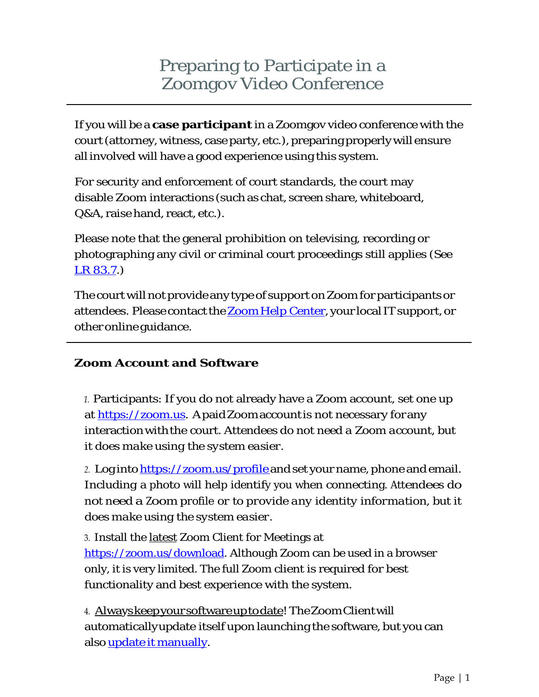# Preparing to Participate in a Zoomgov Video Conference

If you will be a **case participant** in a Zoomgov video conference with the court (attorney, witness, case party, etc.), preparing properly will ensure all involved will have a good experience using this system.

For security and enforcement of court standards, the court may disable Zoom interactions (such as chat, screen share, whiteboard, Q&A, raise hand, react, etc.).

Please note that the general prohibition on televising, recording or photographing any civil or criminal court proceedings still applies (S*ee* [LR 83.7.](https://www.ncmd.uscourts.gov/sites/ncmd/files/CIV_LR_2019.pdf#page=51))

The court will not provide any type of support on Zoom for participants or attendees. Please contact the Zoom Help Center, your local IT support, or other online guidance.

### **Zoom Account and Software**

*1.* Participants: If you do not already have a Zoom account, set one up at [https://zoom.us.](https://zoom.us/) ApaidZoomaccount is not necessary for any interactionwiththe court. *Attendees do not need a Zoom account, but it does make using the system easier.*

*2.* Log into <https://zoom.us/profile> and set your name, phone and email. Including a photo will help identify you when connecting. *Attendees do not need a Zoom profile or to provide any identity information, but it does make using the system easier.*

3. Install the latest Zoom Client for Meetings at [https://zoom.us/download.](https://zoom.us/download) Although Zoom can be used in a browser only, it is very limited. The full Zoom client is required for best functionality and best experience with the system.

4. Alwayskeepyoursoftwareuptodate! TheZoomClientwill automaticallyupdate itself upon launching the software, but you can also <u>update it manually</u>.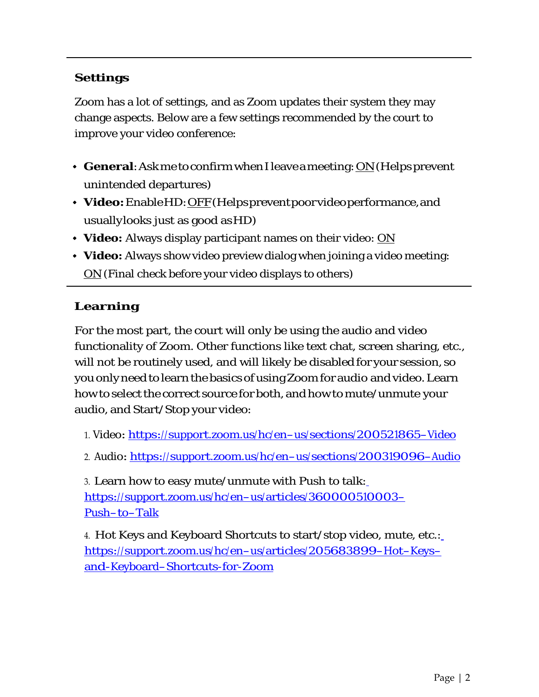## **Settings**

Zoom has a lot of settings, and as Zoom updates their system they may change aspects. Below are a few settings recommended by the court to improve your video conference:

- **General**: Ask me to confirm when I leave a meeting: <u>ON</u> (Helps prevent unintended departures)
- **Video:**EnableHD:OFF(Helpspreventpoorvideoperformance,and usuallylooks just as good asHD)
- **Video:** Always display participant names on their video: ON
- **Video:** Always show video preview dialog when joining a video meeting: ON (Final check before your video displays to others)

# **Learning**

For the most part, the court will only be using the audio and video functionality of Zoom. Other functions like text chat, screen sharing, etc., will not be routinely used, and will likely be disabled for your session, so you only need to learn the basics of usingZoom for audio and video. Learn how to select the correct source for both, and how to mute/unmute your audio, and Start/Stop your video:

1. Video: <https://support.zoom.us/hc/en-us/sections/200521865-Video>

2. Audio: <https://support.zoom.us/hc/en-us/sections/200319096-Audio>

3. Learn how to easy mute/unmute with Push to talk: [https://support.zoom.us/hc/en-us/articles/360000510003-](https://support.zoom.us/hc/en-us/articles/360000510003-Push-to-Talk) [Push-to-Talk](https://support.zoom.us/hc/en-us/articles/360000510003-Push-to-Talk)

4. Hot Keys and Keyboard Shortcuts to start/stop video, mute, etc.[:](https://support.zoom.us/hc/en-us/articles/205683899-Hot-Keys-and-Keyboard-Shortcuts-for-Zoom) [https://support.zoom.us/hc/en-us/articles/205683899-Hot-Keys](https://support.zoom.us/hc/en-us/articles/205683899-Hot-Keys-and-Keyboard-Shortcuts-for-Zoom)[and-Keyboard-Shortcuts-for-Zoom](https://support.zoom.us/hc/en-us/articles/205683899-Hot-Keys-and-Keyboard-Shortcuts-for-Zoom)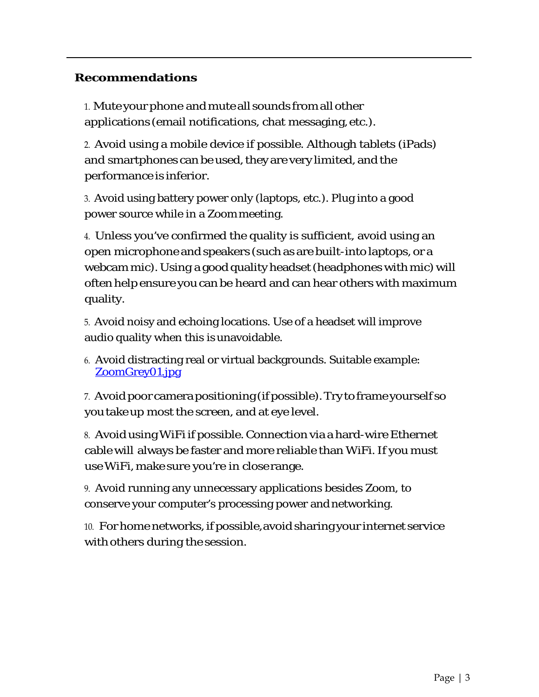#### **Recommendations**

1. Mute your phone and mute all sounds from all other applications (email notifications, chat messaging, etc.).

2. Avoid using a mobile device if possible. Although tablets (iPads) and smartphones can be used, they are very limited, and the performance is inferior.

3. Avoid using battery power only (laptops, etc.). Plug into a good power source while in a Zoommeeting.

4. Unless you've confirmed the quality is sufficient, avoid using an open microphone and speakers (such as are built-into laptops, or a webcam mic). Using a good quality headset (headphones with mic) will often help ensure you can be heard and can hear others with maximum quality.

5. Avoid noisy and echoing locations. Use of a headset will improve audio quality when this is unavoidable.

6. Avoid distracting real or virtual backgrounds. Suitable example: [ZoomGrey01.jpg](https://www.ncmd.uscourts.gov/sites/ncmd/files/ZoomGrey01.jpg)

7. Avoid poor camera positioning (if possible). Try to frame yourself so youtakeup most the screen, and at eye level.

8. Avoid usingWiFi if possible. Connection via a hard-wire Ethernet cable will always be faster and more reliable than WiFi.If you must useWiFi, make sure you're in closerange.

9. Avoid running any unnecessary applications besides Zoom, to conserve your computer's processing power andnetworking.

10. Forhome networks, if possible, avoid sharing your internet service with others during the session.